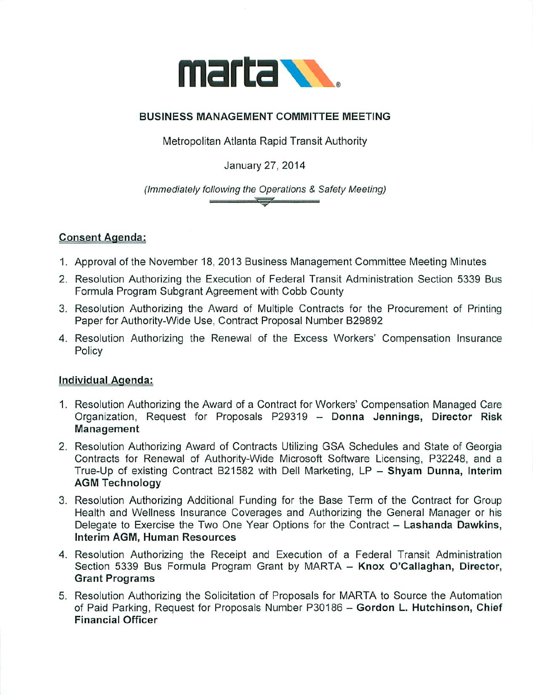

## BUSINESS MANAGEMENT COMMITTEE MEETING

Metropolitan Atlanta Rapid Transit Authority

January 27, 2014

(Immediately following the Operations & Safety Meeting)

 $\overline{\phantom{a}}$ 

## Consent Agenda:

- 1. Approval of the November 18, 2013 Business Management Committee Meeting Minutes
- 2. Resolution Authorizing the Execution of Federal Transit Administration Section 5339 Bus Formula Program Subgrant Agreement with Cobb County
- 3. Resolution Authorizing the Award of Multiple Contracts for the Procurement of Printing Paper for Authority-Wide Use, Contract Proposal Number B29892
- 4. Resolution Authorizing the Renewal of the Excess Workers' Compensation Insurance Policy

## Individual Agenda:

- 1. Resolution Authorizing the Award of a Contract for Workers' Compensation Managed Care Organization, Request for Proposals P29319 - Donna Jennings, Director Risk Management
- 2. Resolution Authorizing Award of Contracts Utilizing GSA Schedules and State of Georgia Contracts for Renewal of Authority-Wide Microsoft Software Licensing, P32248, and True-Up of existing Contract B21582 with Dell Marketing, LP - Shyam Dunna, Interim AGM Technology
- 3. Resolution Authorizing Additional Funding for the Base Term of the Contract for Group Health and Wellness Insurance Coverages and Authorizing the General Manager or his Delegate to Exercise the Two One Year Options for the Contract - Lashanda Dawkins, Interim AGM, Human Resources
- 4. Resolution Authorizing the Receipt and Execution of a Federal Transit Administration Section 5339 Bus Formula Program Grant by MARTA - Knox O'Callaghan, Director, Grant Programs
- 5. Resolution Authorizing the Solicitation of Proposals for MARTA to Source the Automation of Paid Parking, Request for Proposals Number P30186 - Gordon L. Hutchinson, Chief Financial Officer